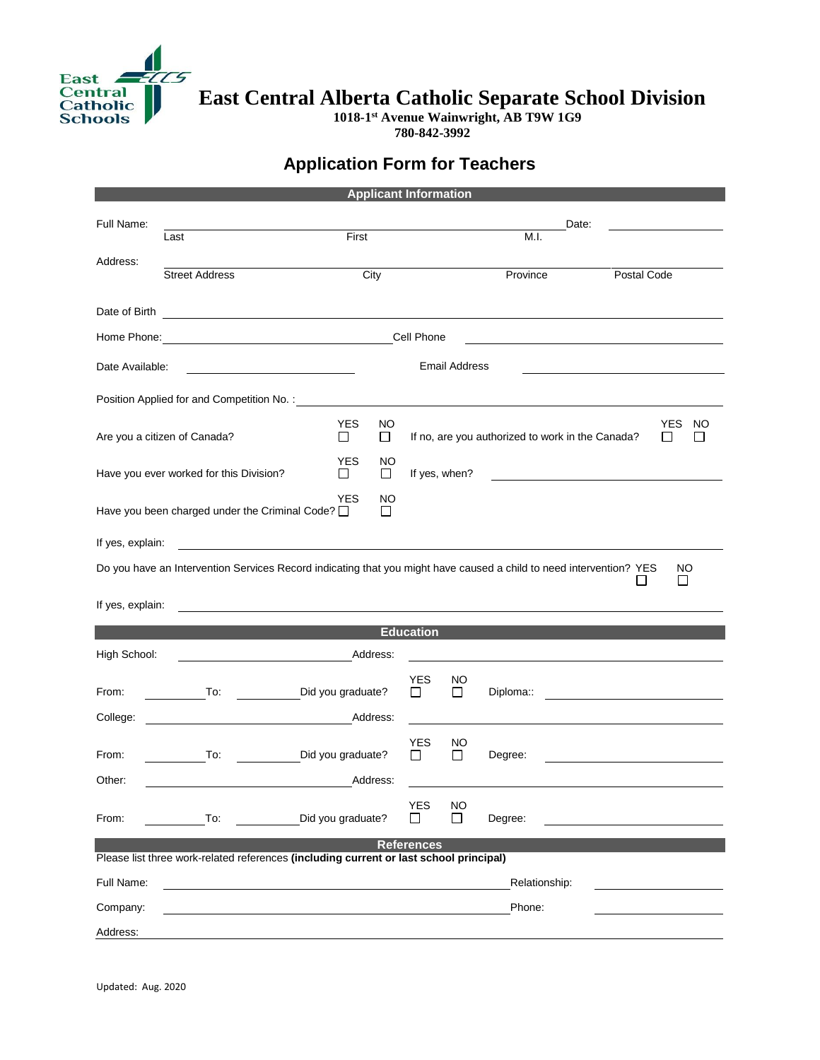

**East Central Alberta Catholic Separate School Division** 

**1018-1 st Avenue Wainwright, AB T9W 1G9 780-842-3992**

## **Application Form for Teachers**

| <b>Applicant Information</b>                                                           |                                                                                                                     |                                       |                     |                                                                                           |           |  |              |                                                                                                                                                                                                                               |  |
|----------------------------------------------------------------------------------------|---------------------------------------------------------------------------------------------------------------------|---------------------------------------|---------------------|-------------------------------------------------------------------------------------------|-----------|--|--------------|-------------------------------------------------------------------------------------------------------------------------------------------------------------------------------------------------------------------------------|--|
| Full Name:                                                                             | First<br>Last                                                                                                       |                                       | Date:               |                                                                                           |           |  |              |                                                                                                                                                                                                                               |  |
|                                                                                        |                                                                                                                     |                                       |                     | M.I.                                                                                      |           |  |              |                                                                                                                                                                                                                               |  |
| Address:                                                                               | <b>Street Address</b><br>City                                                                                       |                                       |                     | Province<br>Postal Code                                                                   |           |  |              |                                                                                                                                                                                                                               |  |
|                                                                                        |                                                                                                                     |                                       |                     |                                                                                           |           |  |              |                                                                                                                                                                                                                               |  |
|                                                                                        | Date of Birth                                                                                                       |                                       |                     |                                                                                           |           |  |              |                                                                                                                                                                                                                               |  |
| Cell Phone                                                                             |                                                                                                                     |                                       |                     |                                                                                           |           |  |              |                                                                                                                                                                                                                               |  |
| <b>Email Address</b><br>Date Available:                                                |                                                                                                                     |                                       |                     |                                                                                           |           |  |              |                                                                                                                                                                                                                               |  |
|                                                                                        |                                                                                                                     |                                       |                     |                                                                                           |           |  |              |                                                                                                                                                                                                                               |  |
|                                                                                        | Are you a citizen of Canada?                                                                                        | <b>YES</b><br>NO.<br>$\Box$<br>$\Box$ |                     | <b>YES</b><br>NO<br>If no, are you authorized to work in the Canada?<br>П<br>$\mathbf{L}$ |           |  |              |                                                                                                                                                                                                                               |  |
|                                                                                        | Have you ever worked for this Division?                                                                             | <b>YES</b><br>NO<br>$\Box$<br>ப       |                     | If yes, when?                                                                             |           |  |              |                                                                                                                                                                                                                               |  |
| <b>YES</b><br>NO<br>Have you been charged under the Criminal Code? O<br>$\Box$         |                                                                                                                     |                                       |                     |                                                                                           |           |  |              |                                                                                                                                                                                                                               |  |
| If yes, explain:                                                                       |                                                                                                                     |                                       |                     |                                                                                           |           |  |              |                                                                                                                                                                                                                               |  |
|                                                                                        | Do you have an Intervention Services Record indicating that you might have caused a child to need intervention? YES |                                       |                     |                                                                                           |           |  |              | NO                                                                                                                                                                                                                            |  |
|                                                                                        |                                                                                                                     |                                       |                     |                                                                                           |           |  | $\mathsf{L}$ | □                                                                                                                                                                                                                             |  |
| If yes, explain:                                                                       |                                                                                                                     |                                       |                     |                                                                                           |           |  |              |                                                                                                                                                                                                                               |  |
|                                                                                        |                                                                                                                     |                                       | <b>Education</b>    |                                                                                           |           |  |              |                                                                                                                                                                                                                               |  |
| High School:                                                                           |                                                                                                                     | Address:                              |                     |                                                                                           |           |  |              |                                                                                                                                                                                                                               |  |
| From:                                                                                  | <b>To:</b>                                                                                                          | Did you graduate?                     | YES<br>ĪΙ           | NO<br>$\perp$                                                                             | Diploma:: |  |              | the control of the control of the control of the control of the control of the control of the control of the control of the control of the control of the control of the control of the control of the control of the control |  |
| College:                                                                               |                                                                                                                     | Address:                              |                     |                                                                                           |           |  |              |                                                                                                                                                                                                                               |  |
| From:                                                                                  | To:                                                                                                                 | Did you graduate?                     | YES<br>$\mathsf{L}$ | NO<br>П                                                                                   | Degree:   |  |              |                                                                                                                                                                                                                               |  |
| Other:                                                                                 |                                                                                                                     | Address:                              |                     |                                                                                           |           |  |              |                                                                                                                                                                                                                               |  |
| From:                                                                                  | To:                                                                                                                 | Did you graduate?                     | <b>YES</b>          | <b>NO</b><br>$\mathsf{L}$                                                                 | Degree:   |  |              |                                                                                                                                                                                                                               |  |
| <b>References</b>                                                                      |                                                                                                                     |                                       |                     |                                                                                           |           |  |              |                                                                                                                                                                                                                               |  |
| Please list three work-related references (including current or last school principal) |                                                                                                                     |                                       |                     |                                                                                           |           |  |              |                                                                                                                                                                                                                               |  |
| Full Name:                                                                             |                                                                                                                     | Relationship:                         |                     |                                                                                           |           |  |              |                                                                                                                                                                                                                               |  |
| Company:                                                                               | Phone:                                                                                                              |                                       |                     |                                                                                           |           |  |              |                                                                                                                                                                                                                               |  |
| Address:                                                                               |                                                                                                                     |                                       |                     |                                                                                           |           |  |              |                                                                                                                                                                                                                               |  |